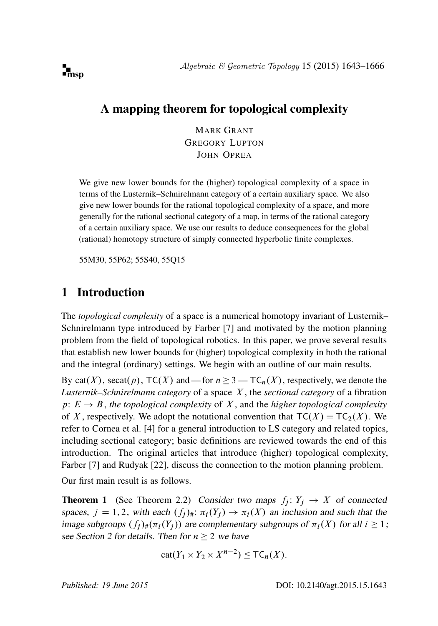

# A mapping theorem for topological complexity

MARK GRANT GREGORY LUPTON JOHN OPREA

We give new lower bounds for the (higher) topological complexity of a space in terms of the Lusternik–Schnirelmann category of a certain auxiliary space. We also give new lower bounds for the rational topological complexity of a space, and more generally for the rational sectional category of a map, in terms of the rational category of a certain auxiliary space. We use our results to deduce consequences for the global (rational) homotopy structure of simply connected hyperbolic finite complexes.

[55M30, 55P62; 55S40, 55Q15](http://www.ams.org/mathscinet/search/mscdoc.html?code=55M30, 55P62, 55S40, 55Q15)

## 1 Introduction

The *topological complexity* of a space is a numerical homotopy invariant of Lusternik– Schnirelmann type introduced by Farber [\[7\]](#page-22-0) and motivated by the motion planning problem from the field of topological robotics. In this paper, we prove several results that establish new lower bounds for (higher) topological complexity in both the rational and the integral (ordinary) settings. We begin with an outline of our main results.

By cat(X), secat(p),  $TC(X)$  and — for  $n \geq 3$  —  $TC_n(X)$ , respectively, we denote the *Lusternik–Schnirelmann category* of a space X , the *sectional category* of a fibration  $p: E \to B$ , *the topological complexity* of X, and the *higher topological complexity* of X, respectively. We adopt the notational convention that  $TC(X) = TC_2(X)$ . We refer to Cornea et al. [\[4\]](#page-22-1) for a general introduction to LS category and related topics, including sectional category; basic definitions are reviewed towards the end of this introduction. The original articles that introduce (higher) topological complexity, Farber [\[7\]](#page-22-0) and Rudyak [\[22\]](#page-23-0), discuss the connection to the motion planning problem.

<span id="page-0-0"></span>Our first main result is as follows.

**Theorem 1** (See [Theorem 2.2\)](#page-6-0) Consider two maps  $f_j: Y_j \to X$  of connected spaces,  $j = 1, 2$ , with each  $(f_i)_* : \pi_i(Y_i) \to \pi_i(X)$  an inclusion and such that the image subgroups  $(f_i)_\#(\pi_i(Y_i))$  are complementary subgroups of  $\pi_i(X)$  for all  $i \geq 1$ ; see [Section 2](#page-4-0) for details. Then for  $n > 2$  we have

$$
cat(Y_1 \times Y_2 \times X^{n-2}) \le TC_n(X).
$$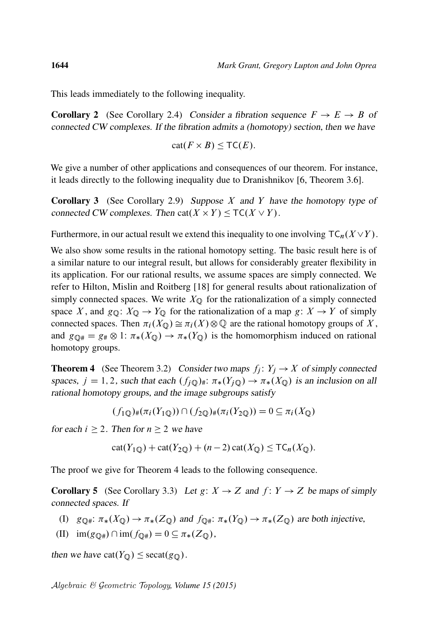This leads immediately to the following inequality.

**Corollary 2** (See [Corollary 2.4\)](#page-8-0) Consider a fibration sequence  $F \rightarrow E \rightarrow B$  of connected CW complexes. If the fibration admits a (homotopy) section, then we have

$$
cat(F \times B) \le TC(E).
$$

We give a number of other applications and consequences of our theorem. For instance, it leads directly to the following inequality due to Dranishnikov [\[6,](#page-22-2) Theorem 3.6].

**Corollary 3** (See [Corollary 2.9\)](#page-9-0) Suppose X and Y have the homotopy type of connected CW complexes. Then  $cat(X \times Y) \leq TC(X \vee Y)$ .

Furthermore, in our actual result we extend this inequality to one involving  $TC_n(X \vee Y)$ .

We also show some results in the rational homotopy setting. The basic result here is of a similar nature to our integral result, but allows for considerably greater flexibility in its application. For our rational results, we assume spaces are simply connected. We refer to Hilton, Mislin and Roitberg [\[18\]](#page-23-1) for general results about rationalization of simply connected spaces. We write  $X_{\mathbb{Q}}$  for the rationalization of a simply connected space X, and  $g_{\mathbb{Q}}: X_{\mathbb{Q}} \to Y_{\mathbb{Q}}$  for the rationalization of a map  $g: X \to Y$  of simply connected spaces. Then  $\pi_i(X_{\mathbb{Q}}) \cong \pi_i(X) \otimes \mathbb{Q}$  are the rational homotopy groups of X, and  $g_{\mathbb{Q}^*} = g_{\#} \otimes 1$ :  $\pi_*(X_{\mathbb{Q}}) \to \pi_*(Y_{\mathbb{Q}})$  is the homomorphism induced on rational homotopy groups.

<span id="page-1-0"></span>**Theorem 4** (See [Theorem 3.2\)](#page-11-0) Consider two maps  $f_j: Y_j \to X$  of simply connected spaces,  $j = 1, 2$ , such that each  $(f_{i\mathbb{Q}})_* : \pi_*(Y_{i\mathbb{Q}}) \to \pi_*(X_{\mathbb{Q}})$  is an inclusion on all rational homotopy groups, and the image subgroups satisfy

$$
(f_1 \mathbf{Q})_{\#}(\pi_i(Y_1 \mathbf{Q})) \cap (f_2 \mathbf{Q})_{\#}(\pi_i(Y_2 \mathbf{Q})) = 0 \subseteq \pi_i(X_{\mathbf{Q}})
$$

for each  $i \geq 2$ . Then for  $n \geq 2$  we have

$$
cat(Y_{1Q}) + cat(Y_{2Q}) + (n-2) cat(X_{Q}) \le TC_n(X_{Q}).
$$

<span id="page-1-1"></span>The proof we give for [Theorem 4](#page-1-0) leads to the following consequence.

**Corollary 5** (See [Corollary 3.3\)](#page-12-0) Let  $g: X \to Z$  and  $f: Y \to Z$  be maps of simply connected spaces. If

- (I)  $g_{\mathbb{Q}^{\#}}: \pi_*(X_{\mathbb{Q}}) \to \pi_*(Z_{\mathbb{Q}})$  and  $f_{\mathbb{Q}^{\#}}: \pi_*(Y_{\mathbb{Q}}) \to \pi_*(Z_{\mathbb{Q}})$  are both injective,
- (II)  $\text{im}(g_{\mathbb{Q}^*}) \cap \text{im}(f_{\mathbb{Q}^*}) = 0 \subseteq \pi_*(Z_{\mathbb{Q}}),$

then we have  $cat(Y_{\mathbb{Q}}) \leq secat(g_{\mathbb{Q}})$ .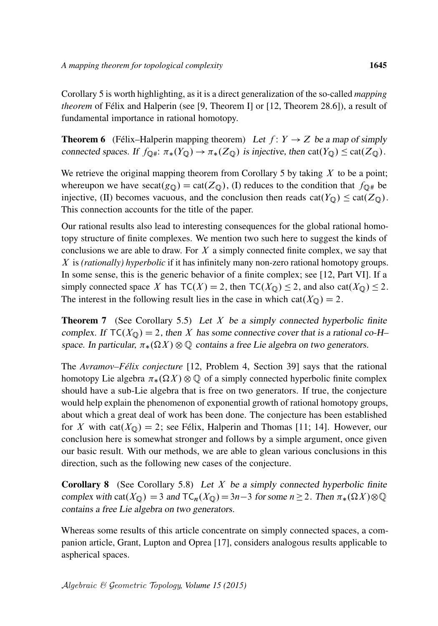[Corollary 5](#page-1-1) is worth highlighting, as it is a direct generalization of the so-called *mapping theorem* of Félix and Halperin (see [\[9,](#page-22-3) Theorem I] or [\[12,](#page-22-4) Theorem 28.6]), a result of fundamental importance in rational homotopy.

<span id="page-2-0"></span>**Theorem 6** (Félix–Halperin mapping theorem) Let  $f: Y \rightarrow Z$  be a map of simply connected spaces. If  $f_{\mathbb{Q}^*}: \pi_*(Y_{\mathbb{Q}}) \to \pi_*(Z_{\mathbb{Q}})$  is injective, then cat $(Y_{\mathbb{Q}}) \leq \text{cat}(Z_{\mathbb{Q}})$ .

We retrieve the original mapping theorem from [Corollary 5](#page-1-1) by taking  $X$  to be a point; whereupon we have  $\text{secat}(g_{\mathbb{Q}}) = \text{cat}(Z_{\mathbb{Q}})$ , (I) reduces to the condition that  $f_{\mathbb{Q}^*}$  be injective, (II) becomes vacuous, and the conclusion then reads  $cat(Y_{\mathbb{Q}}) \leq cat(Z_{\mathbb{Q}})$ . This connection accounts for the title of the paper.

Our rational results also lead to interesting consequences for the global rational homotopy structure of finite complexes. We mention two such here to suggest the kinds of conclusions we are able to draw. For  $X$  a simply connected finite complex, we say that X is *(rationally) hyperbolic* if it has infinitely many non-zero rational homotopy groups. In some sense, this is the generic behavior of a finite complex; see [\[12,](#page-22-4) Part VI]. If a simply connected space X has  $TC(X) = 2$ , then  $TC(X_0) \le 2$ , and also cat $(X_0) \le 2$ . The interest in the following result lies in the case in which  $cat(X<sub>Q</sub>) = 2$ .

**Theorem 7** (See [Corollary 5.5\)](#page-20-0) Let X be a simply connected hyperbolic finite complex. If  $TC(X<sub>Q</sub>) = 2$ , then X has some connective cover that is a rational co-H– space. In particular,  $\pi_*(\Omega X) \otimes \mathbb{Q}$  contains a free Lie algebra on two generators.

The *Avramov–Félix conjecture* [\[12,](#page-22-4) Problem 4, Section 39] says that the rational homotopy Lie algebra  $\pi_*(\Omega X) \otimes \mathbb{Q}$  of a simply connected hyperbolic finite complex should have a sub-Lie algebra that is free on two generators. If true, the conjecture would help explain the phenomenon of exponential growth of rational homotopy groups, about which a great deal of work has been done. The conjecture has been established for X with cat $(X_{\mathbb{Q}}) = 2$ ; see Félix, Halperin and Thomas [\[11;](#page-22-5) [14\]](#page-22-6). However, our conclusion here is somewhat stronger and follows by a simple argument, once given our basic result. With our methods, we are able to glean various conclusions in this direction, such as the following new cases of the conjecture.

**Corollary 8** (See [Corollary 5.8\)](#page-21-0) Let  $X$  be a simply connected hyperbolic finite complex with cat( $X_{\mathbb{Q}}$ ) = 3 and TC<sub>n</sub>( $X_{\mathbb{Q}}$ ) = 3n-3 for some n  $\geq$  2. Then  $\pi_*(\Omega X) \otimes \mathbb{Q}$ contains a free Lie algebra on two generators.

Whereas some results of this article concentrate on simply connected spaces, a companion article, Grant, Lupton and Oprea [\[17\]](#page-23-2), considers analogous results applicable to aspherical spaces.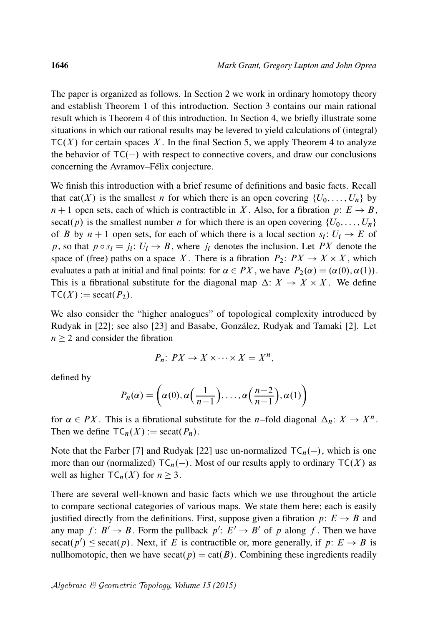The paper is organized as follows. In [Section 2](#page-4-0) we work in ordinary homotopy theory and establish [Theorem 1](#page-0-0) of this introduction. [Section 3](#page-10-0) contains our main rational result which is [Theorem 4](#page-1-0) of this introduction. In [Section 4,](#page-16-0) we briefly illustrate some situations in which our rational results may be levered to yield calculations of (integral)  $TC(X)$  for certain spaces X. In the final [Section 5,](#page-18-0) we apply [Theorem 4](#page-1-0) to analyze the behavior of  $TC(-)$  with respect to connective covers, and draw our conclusions concerning the Avramov–Félix conjecture.

We finish this introduction with a brief resume of definitions and basic facts. Recall that cat(X) is the smallest n for which there is an open covering  $\{U_0, \ldots, U_n\}$  by  $n + 1$  open sets, each of which is contractible in X. Also, for a fibration p:  $E \rightarrow B$ , secat(p) is the smallest number n for which there is an open covering  $\{U_0, \ldots, U_n\}$ of B by  $n + 1$  open sets, for each of which there is a local section  $s_i: U_i \to E$  of p, so that  $p \circ s_i = j_i$ :  $U_i \rightarrow B$ , where  $j_i$  denotes the inclusion. Let PX denote the space of (free) paths on a space X. There is a fibration  $P_2$ :  $PX \to X \times X$ , which evaluates a path at initial and final points: for  $\alpha \in PX$ , we have  $P_2(\alpha) = (\alpha(0), \alpha(1))$ . This is a fibrational substitute for the diagonal map  $\Delta: X \to X \times X$ . We define  $TC(X) := \text{secat}(P_2)$ .

We also consider the "higher analogues" of topological complexity introduced by Rudyak in [\[22\]](#page-23-0); see also [\[23\]](#page-23-3) and Basabe, González, Rudyak and Tamaki [\[2\]](#page-22-7). Let  $n \geq 2$  and consider the fibration

$$
P_n: PX \to X \times \cdots \times X = X^n,
$$

defined by

$$
P_n(\alpha) = \left(\alpha(0), \alpha\left(\frac{1}{n-1}\right), \dots, \alpha\left(\frac{n-2}{n-1}\right), \alpha(1)\right)
$$

for  $\alpha \in PX$ . This is a fibrational substitute for the *n*-fold diagonal  $\Delta_n: X \to X^n$ . Then we define  $TC_n(X) := \text{secat}(P_n)$ .

Note that the Farber [\[7\]](#page-22-0) and Rudyak [\[22\]](#page-23-0) use un-normalized  $TC_n(-)$ , which is one more than our (normalized)  $TC_n(-)$ . Most of our results apply to ordinary  $TC(X)$  as well as higher  $TC_n(X)$  for  $n \geq 3$ .

There are several well-known and basic facts which we use throughout the article to compare sectional categories of various maps. We state them here; each is easily justified directly from the definitions. First, suppose given a fibration  $p: E \rightarrow B$  and any map  $f: B' \to B$ . Form the pullback  $p' : E' \to B'$  of p along f. Then we have  $\operatorname{secat}(p') \leq \operatorname{secat}(p)$ . Next, if E is contractible or, more generally, if  $p: E \to B$  is nullhomotopic, then we have secat( $p$ ) = cat( $B$ ). Combining these ingredients readily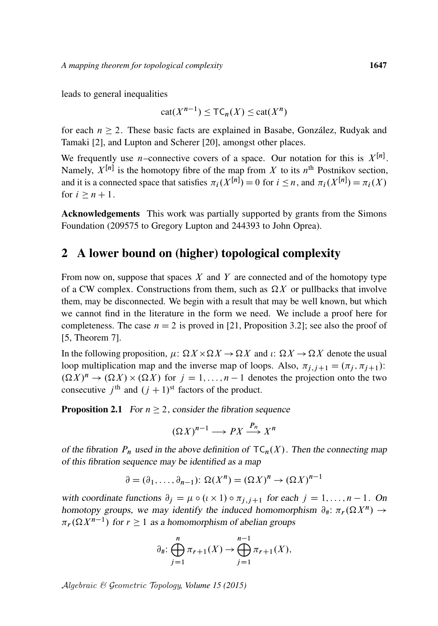leads to general inequalities

$$
\mathrm{cat}(X^{n-1}) \leq \mathsf{TC}_n(X) \leq \mathrm{cat}(X^n)
$$

for each  $n \geq 2$ . These basic facts are explained in Basabe, González, Rudyak and Tamaki [\[2\]](#page-22-7), and Lupton and Scherer [\[20\]](#page-23-4), amongst other places.

We frequently use *n*-connective covers of a space. Our notation for this is  $X^{[n]}$ . Namely,  $X^{[n]}$  is the homotopy fibre of the map from X to its  $n^{\text{th}}$  Postnikov section, and it is a connected space that satisfies  $\pi_i(X^{[n]}) = 0$  for  $i \leq n$ , and  $\pi_i(X^{[n]}) = \pi_i(X)$ for  $i \geq n + 1$ .

Acknowledgements This work was partially supported by grants from the Simons Foundation (209575 to Gregory Lupton and 244393 to John Oprea).

### <span id="page-4-0"></span>2 A lower bound on (higher) topological complexity

From now on, suppose that spaces  $X$  and  $Y$  are connected and of the homotopy type of a CW complex. Constructions from them, such as  $\Omega X$  or pullbacks that involve them, may be disconnected. We begin with a result that may be well known, but which we cannot find in the literature in the form we need. We include a proof here for completeness. The case  $n = 2$  is proved in [\[21,](#page-23-5) Proposition 3.2]; see also the proof of [\[5,](#page-22-8) Theorem 7].

In the following proposition,  $\mu: \Omega X \times \Omega X \to \Omega X$  and  $\iota: \Omega X \to \Omega X$  denote the usual loop multiplication map and the inverse map of loops. Also,  $\pi_{i,j+1} = (\pi_i, \pi_{i+1})$ :  $(\Omega X)^n \to (\Omega X) \times (\Omega X)$  for  $j = 1, ..., n - 1$  denotes the projection onto the two consecutive  $j^{\text{th}}$  and  $(j + 1)^{\text{st}}$  factors of the product.

<span id="page-4-1"></span>**Proposition 2.1** For  $n \ge 2$ , consider the fibration sequence

$$
(\Omega X)^{n-1} \longrightarrow PX \stackrel{P_n}{\longrightarrow} X^n
$$

of the fibration  $P_n$  used in the above definition of  $TC_n(X)$ . Then the connecting map of this fibration sequence may be identified as a map

$$
\partial = (\partial_1, \dots, \partial_{n-1}) \colon \Omega(X^n) = (\Omega X)^n \to (\Omega X)^{n-1}
$$

with coordinate functions  $\partial_j = \mu \circ (\iota \times 1) \circ \pi_{j,j+1}$  for each  $j = 1, ..., n-1$ . On homotopy groups, we may identify the induced homomorphism  $\partial_{\#}: \pi_r(\Omega X^n) \to$  $\pi_r(\Omega X^{n-1})$  for  $r \ge 1$  as a homomorphism of abelian groups

$$
\partial_{\#} \colon \bigoplus_{j=1}^{n} \pi_{r+1}(X) \to \bigoplus_{j=1}^{n-1} \pi_{r+1}(X),
$$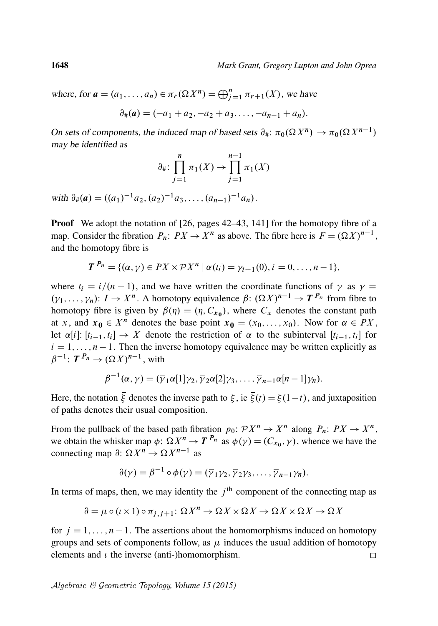where, for  $\mathbf{a} = (a_1, \dots, a_n) \in \pi_r(\Omega X^n) = \bigoplus_{j=1}^n \pi_{r+1}(X)$ , we have

$$
\partial_{\#}(a) = (-a_1 + a_2, -a_2 + a_3, \ldots, -a_{n-1} + a_n).
$$

On sets of components, the induced map of based sets  $\partial_{\#}: \pi_0(\Omega X^n) \to \pi_0(\Omega X^{n-1})$ may be identified as

$$
\partial_{\#} \colon \prod_{j=1}^{n} \pi_1(X) \to \prod_{j=1}^{n-1} \pi_1(X)
$$

with  $\partial_{\#}(a) = ((a_1)^{-1}a_2, (a_2)^{-1}a_3, \ldots, (a_{n-1})^{-1}a_n).$ 

**Proof** We adopt the notation of  $[26, \text{ pages } 42-43, 141]$  $[26, \text{ pages } 42-43, 141]$  for the homotopy fibre of a map. Consider the fibration  $P_n: PX \to X^n$  as above. The fibre here is  $F = (\Omega X)^{n-1}$ , and the homotopy fibre is

$$
T^{P_n} = \{(\alpha, \gamma) \in PX \times \mathcal{P}X^n \mid \alpha(t_i) = \gamma_{i+1}(0), i = 0, \ldots, n-1\},\
$$

where  $t_i = i/(n-1)$ , and we have written the coordinate functions of  $\gamma$  as  $\gamma =$  $(\gamma_1,\ldots,\gamma_n): I \to X^n$ . A homotopy equivalence  $\beta: (\Omega X)^{n-1} \to T^{P_n}$  from fibre to homotopy fibre is given by  $\beta(\eta) = (\eta, C_{\mathbf{x_0}})$ , where  $C_{\mathbf{x}}$  denotes the constant path at x, and  $x_0 \in X^n$  denotes the base point  $x_0 = (x_0, \ldots, x_0)$ . Now for  $\alpha \in PX$ , let  $\alpha[i]$ :  $[t_{i-1}, t_i] \rightarrow X$  denote the restriction of  $\alpha$  to the subinterval  $[t_{i-1}, t_i]$  for  $i = 1, \ldots, n - 1$ . Then the inverse homotopy equivalence may be written explicitly as  $\beta^{-1}$ :  $T^{P_n} \rightarrow (\Omega X)^{n-1}$ , with

$$
\beta^{-1}(\alpha,\gamma)=(\overline{\gamma}_1\alpha[1]\gamma_2,\overline{\gamma}_2\alpha[2]\gamma_3,\ldots,\overline{\gamma}_{n-1}\alpha[n-1]\gamma_n).
$$

Here, the notation  $\bar{\xi}$  denotes the inverse path to  $\xi$ , ie  $\bar{\xi}(t) = \xi(1-t)$ , and juxtaposition of paths denotes their usual composition.

From the pullback of the based path fibration  $p_0: \mathcal{P}X^n \to X^n$  along  $P_n: \mathcal{P}X \to X^n$ , we obtain the whisker map  $\phi: \Omega X^n \to T^{P_n}$  as  $\phi(\gamma) = (C_{x_0}, \gamma)$ , whence we have the connecting map  $\partial: \Omega X^n \to \Omega X^{n-1}$  as

$$
\partial(\gamma) = \beta^{-1} \circ \phi(\gamma) = (\overline{\gamma}_1 \gamma_2, \overline{\gamma}_2 \gamma_3, \dots, \overline{\gamma}_{n-1} \gamma_n).
$$

In terms of maps, then, we may identity the  $j<sup>th</sup>$  component of the connecting map as

$$
\partial = \mu \circ (\iota \times 1) \circ \pi_{j,j+1} \colon \Omega X^n \to \Omega X \times \Omega X \to \Omega X \times \Omega X \to \Omega X
$$

for  $j = 1, ..., n - 1$ . The assertions about the homomorphisms induced on homotopy groups and sets of components follow, as  $\mu$  induces the usual addition of homotopy elements and  $\iota$  the inverse (anti-)homomorphism.  $\Box$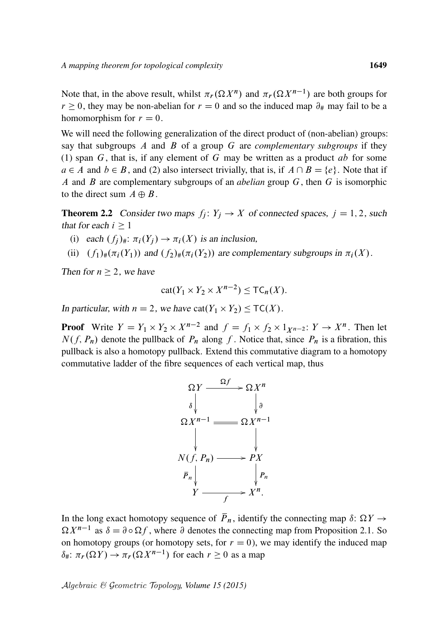Note that, in the above result, whilst  $\pi_r(\Omega X^n)$  and  $\pi_r(\Omega X^{n-1})$  are both groups for  $r \ge 0$ , they may be non-abelian for  $r = 0$  and so the induced map  $\partial_{\#}$  may fail to be a homomorphism for  $r = 0$ .

We will need the following generalization of the direct product of (non-abelian) groups: say that subgroups A and B of a group G are *complementary subgroups* if they (1) span  $G$ , that is, if any element of  $G$  may be written as a product ab for some  $a \in A$  and  $b \in B$ , and (2) also intersect trivially, that is, if  $A \cap B = \{e\}$ . Note that if A and B are complementary subgroups of an *abelian* group G, then G is isomorphic to the direct sum  $A \oplus B$ .

<span id="page-6-0"></span>**Theorem 2.2** Consider two maps  $f_j: Y_j \to X$  of connected spaces,  $j = 1, 2$ , such that for each  $i \geq 1$ 

- (i) each  $(f_i)_{\#}$ :  $\pi_i(Y_i) \to \pi_i(X)$  is an inclusion,
- (ii)  $(f_1)_\#(\pi_i(Y_1))$  and  $(f_2)_\#(\pi_i(Y_2))$  are complementary subgroups in  $\pi_i(X)$ .

Then for  $n \geq 2$ , we have

$$
cat(Y_1 \times Y_2 \times X^{n-2}) \le TC_n(X).
$$

In particular, with  $n = 2$ , we have  $cat(Y_1 \times Y_2) \le TC(X)$ .

**Proof** Write  $Y = Y_1 \times Y_2 \times X^{n-2}$  and  $f = f_1 \times f_2 \times 1_{X^{n-2}}: Y \to X^n$ . Then let  $N(f, P_n)$  denote the pullback of  $P_n$  along f. Notice that, since  $P_n$  is a fibration, this pullback is also a homotopy pullback. Extend this commutative diagram to a homotopy commutative ladder of the fibre sequences of each vertical map, thus



In the long exact homotopy sequence of  $\overline{P}_n$ , identify the connecting map  $\delta: \Omega Y \to$  $\Omega X^{n-1}$  as  $\delta = \partial \circ \Omega f$ , where  $\partial$  denotes the connecting map from [Proposition 2.1.](#page-4-1) So on homotopy groups (or homotopy sets, for  $r = 0$ ), we may identify the induced map  $\delta_{\#}$ :  $\pi_r(\Omega Y) \to \pi_r(\Omega X^{n-1})$  for each  $r \geq 0$  as a map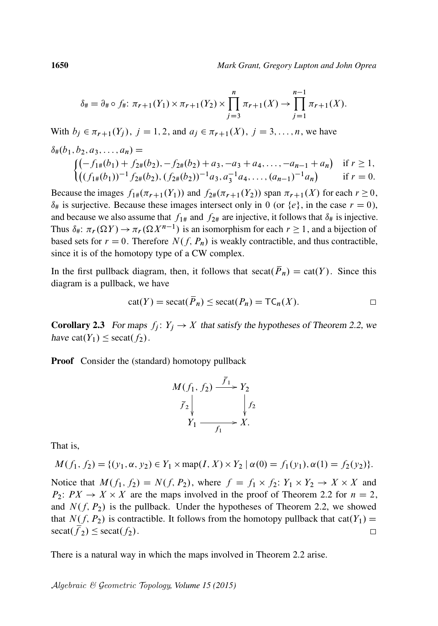$$
\delta_{\#} = \partial_{\#} \circ f_{\#}: \pi_{r+1}(Y_1) \times \pi_{r+1}(Y_2) \times \prod_{j=3}^{n} \pi_{r+1}(X) \to \prod_{j=1}^{n-1} \pi_{r+1}(X).
$$

With  $b_j \in \pi_{r+1}(Y_j)$ ,  $j = 1, 2$ , and  $a_j \in \pi_{r+1}(X)$ ,  $j = 3, ..., n$ , we have

$$
\delta_{\#}(b_1, b_2, a_3, \dots, a_n) =
$$
\n
$$
\begin{cases}\n(-f_{1\#}(b_1) + f_{2\#}(b_2), -f_{2\#}(b_2) + a_3, -a_3 + a_4, \dots, -a_{n-1} + a_n) & \text{if } r \ge 1, \\
((f_{1\#}(b_1))^{-1} f_{2\#}(b_2), (f_{2\#}(b_2))^{-1} a_3, a_3^{-1} a_4, \dots, (a_{n-1})^{-1} a_n) & \text{if } r = 0.\n\end{cases}
$$

Because the images  $f_{1\#}(\pi_{r+1}(Y_1))$  and  $f_{2\#}(\pi_{r+1}(Y_2))$  span  $\pi_{r+1}(X)$  for each  $r \ge 0$ ,  $\delta_{\#}$  is surjective. Because these images intersect only in 0 (or {e}, in the case  $r = 0$ ), and because we also assume that  $f_{1#}$  and  $f_{2#}$  are injective, it follows that  $\delta_{#}$  is injective. Thus  $\delta_{\#}$ :  $\pi_r(\Omega Y) \to \pi_r(\Omega X^{n-1})$  is an isomorphism for each  $r \ge 1$ , and a bijection of based sets for  $r = 0$ . Therefore  $N(f, P_n)$  is weakly contractible, and thus contractible, since it is of the homotopy type of a CW complex.

In the first pullback diagram, then, it follows that secat( $\overline{P}_n$ ) = cat(Y). Since this diagram is a pullback, we have

$$
cat(Y) = secat(\overline{P}_n) \leq secat(P_n) = TC_n(X).
$$

<span id="page-7-0"></span>**Corollary 2.3** For maps  $f_i: Y_i \to X$  that satisfy the hypotheses of [Theorem 2.2,](#page-6-0) we have cat( $Y_1$ )  $\leq$  secat( $f_2$ ).

Proof Consider the (standard) homotopy pullback

$$
M(f_1, f_2) \xrightarrow{\overline{f}_1} Y_2
$$
  
\n
$$
\overline{f}_2 \downarrow \qquad \qquad \downarrow f_2
$$
  
\n
$$
Y_1 \xrightarrow{f_1} X.
$$

That is,

$$
M(f_1, f_2) = \{ (y_1, \alpha, y_2) \in Y_1 \times \text{map}(I, X) \times Y_2 \mid \alpha(0) = f_1(y_1), \alpha(1) = f_2(y_2) \}.
$$

Notice that  $M(f_1, f_2) = N(f, P_2)$ , where  $f = f_1 \times f_2$ :  $Y_1 \times Y_2 \to X \times X$  and  $P_2$ :  $PX \rightarrow X \times X$  are the maps involved in the proof of [Theorem 2.2](#page-6-0) for  $n = 2$ , and  $N(f, P_2)$  is the pullback. Under the hypotheses of [Theorem 2.2,](#page-6-0) we showed that  $N(f, P_2)$  is contractible. It follows from the homotopy pullback that cat $(Y_1)$  =  $\operatorname{secat}(f_2) \le \operatorname{secat}(f_2)$ .  $\Box$ 

There is a natural way in which the maps involved in [Theorem 2.2](#page-6-0) arise.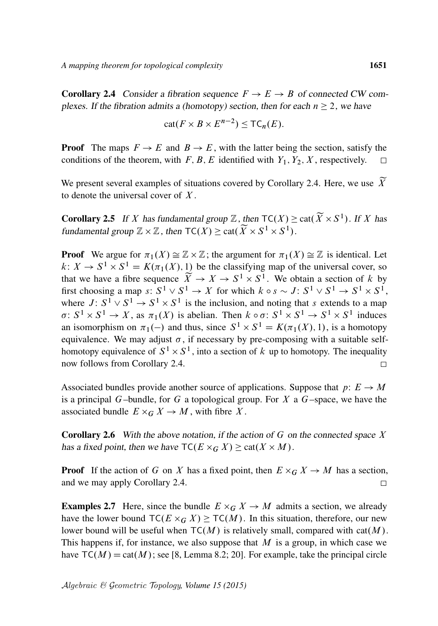<span id="page-8-0"></span>**Corollary 2.4** Consider a fibration sequence  $F \to E \to B$  of connected CW complexes. If the fibration admits a (homotopy) section, then for each  $n \geq 2$ , we have

$$
cat(F \times B \times E^{n-2}) \leq TC_n(E).
$$

**Proof** The maps  $F \to E$  and  $B \to E$ , with the latter being the section, satisfy the conditions of the theorem, with F, B, E identified with  $Y_1, Y_2, X$ , respectively.  $\Box$ 

We present several examples of situations covered by [Corollary 2.4.](#page-8-0) Here, we use  $\widetilde{X}$ to denote the universal cover of  $X$ .

**Corollary 2.5** If X has fundamental group  $\mathbb{Z}$ , then  $\mathsf{TC}(X) \geq \text{cat}(\widetilde{X} \times S^1)$ . If X has fundamental group  $\mathbb{Z} \times \mathbb{Z}$ , then  $\mathsf{TC}(X) \geq \text{cat}(\widetilde{X} \times S^1 \times S^1)$ .

**Proof** We argue for  $\pi_1(X) \cong \mathbb{Z} \times \mathbb{Z}$ ; the argument for  $\pi_1(X) \cong \mathbb{Z}$  is identical. Let  $k: X \to S^1 \times S^1 = K(\pi_1(X), 1)$  be the classifying map of the universal cover, so that we have a fibre sequence  $\widetilde{X} \to X \to S^1 \times S^1$ . We obtain a section of k by first choosing a map  $s: S^1 \vee S^1 \rightarrow X$  for which  $k \circ s \sim J: S^1 \vee S^1 \rightarrow S^1 \times S^1$ , where  $J: S^1 \vee S^1 \rightarrow S^1 \times S^1$  is the inclusion, and noting that s extends to a map  $\sigma: S^1 \times S^1 \to X$ , as  $\pi_1(X)$  is abelian. Then  $k \circ \sigma: S^1 \times S^1 \to S^1 \times S^1$  induces an isomorphism on  $\pi_1(-)$  and thus, since  $S^1 \times S^1 = K(\pi_1(X), 1)$ , is a homotopy equivalence. We may adjust  $\sigma$ , if necessary by pre-composing with a suitable selfhomotopy equivalence of  $S^1 \times S^1$ , into a section of k up to homotopy. The inequality now follows from [Corollary 2.4.](#page-8-0)  $\Box$ 

Associated bundles provide another source of applications. Suppose that  $p: E \to M$ is a principal G–bundle, for G a topological group. For X a G–space, we have the associated bundle  $E \times_G X \to M$ , with fibre X.

**Corollary 2.6** With the above notation, if the action of G on the connected space X has a fixed point, then we have  $\mathsf{TC}(E \times_G X) \geq \text{cat}(X \times M)$ .

**Proof** If the action of G on X has a fixed point, then  $E \times_G X \to M$  has a section, and we may apply [Corollary 2.4.](#page-8-0)  $\Box$ 

**Examples 2.7** Here, since the bundle  $E \times_G X \to M$  admits a section, we already have the lower bound  $TC(E \times_G X) \ge TC(M)$ . In this situation, therefore, our new lower bound will be useful when  $TC(M)$  is relatively small, compared with cat $(M)$ . This happens if, for instance, we also suppose that  $M$  is a group, in which case we have  $TC(M) = cat(M)$ ; see [\[8,](#page-22-9) Lemma 8.2; [20\]](#page-23-4). For example, take the principal circle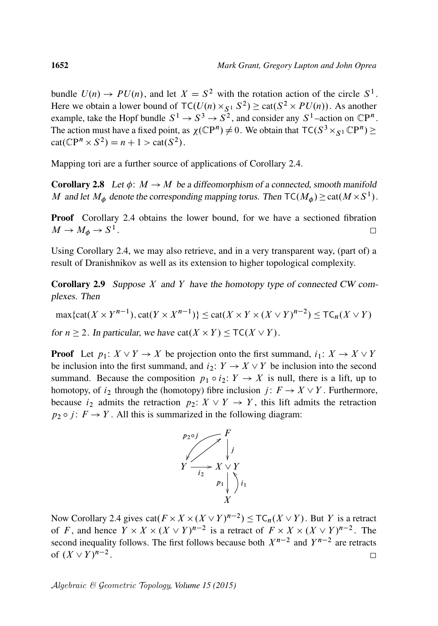bundle  $U(n) \to PU(n)$ , and let  $X = S^2$  with the rotation action of the circle  $S^1$ . Here we obtain a lower bound of  $TC(U(n) \times_{S^1} S^2) \geq cat(S^2 \times PU(n))$ . As another example, take the Hopf bundle  $S^1 \rightarrow S^3 \rightarrow S^2$ , and consider any  $S^1$ -action on  $\mathbb{C}P^n$ . The action must have a fixed point, as  $\chi(\mathbb{C}P^n) \neq 0$ . We obtain that  $\mathsf{TC}(S^3 \times_{S^1} \mathbb{C}P^n) \geq 0$  $cat(\mathbb{C}P^n \times S^2) = n + 1 > cat(S^2).$ 

Mapping tori are a further source of applications of [Corollary 2.4.](#page-8-0)

**Corollary 2.8** Let  $\phi: M \to M$  be a diffeomorphism of a connected, smooth manifold M and let  $M_{\phi}$  denote the corresponding mapping torus. Then  $TC(M_{\phi}) \geq cat(M \times S^{1})$ .

**Proof** [Corollary 2.4](#page-8-0) obtains the lower bound, for we have a sectioned fibration  $M \to M_{\phi} \to S^1$ .  $\Box$ 

Using [Corollary 2.4,](#page-8-0) we may also retrieve, and in a very transparent way, (part of) a result of Dranishnikov as well as its extension to higher topological complexity.

<span id="page-9-0"></span>**Corollary 2.9** Suppose  $X$  and  $Y$  have the homotopy type of connected CW complexes. Then

 $\max\{\text{cat}(X \times Y^{n-1}), \text{cat}(Y \times X^{n-1})\} \leq \text{cat}(X \times Y \times (X \vee Y)^{n-2}) \leq \text{TC}_n(X \vee Y)$ for  $n \ge 2$ . In particular, we have  $cat(X \times Y) \le TC(X \vee Y)$ .

**Proof** Let  $p_1: X \vee Y \rightarrow X$  be projection onto the first summand,  $i_1: X \rightarrow X \vee Y$ be inclusion into the first summand, and  $i_2: Y \to X \vee Y$  be inclusion into the second summand. Because the composition  $p_1 \circ i_2: Y \to X$  is null, there is a lift, up to homotopy, of  $i_2$  through the (homotopy) fibre inclusion  $j: F \to X \vee Y$ . Furthermore, because  $i_2$  admits the retraction  $p_2: X \vee Y \rightarrow Y$ , this lift admits the retraction  $p_2 \circ j$ :  $F \to Y$ . All this is summarized in the following diagram:



Now [Corollary 2.4](#page-8-0) gives  $cat(F \times X \times (X \vee Y)^{n-2}) \leq TC_n(X \vee Y)$ . But Y is a retract of F, and hence  $Y \times X \times (X \vee Y)^{n-2}$  is a retract of  $F \times X \times (X \vee Y)^{n-2}$ . The second inequality follows. The first follows because both  $X^{n-2}$  and  $Y^{n-2}$  are retracts of  $(X \vee Y)^{n-2}$ .  $\Box$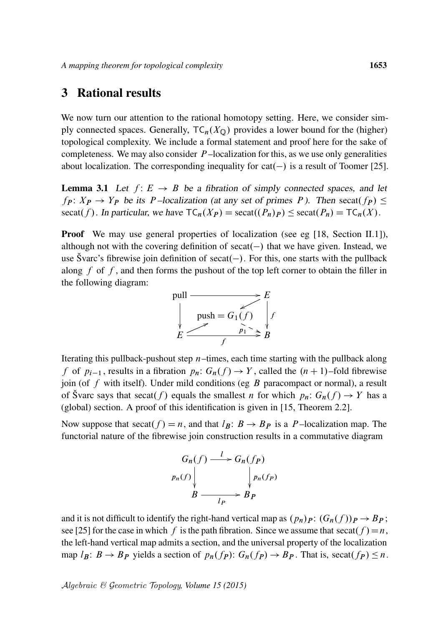## <span id="page-10-0"></span>3 Rational results

We now turn our attention to the rational homotopy setting. Here, we consider simply connected spaces. Generally,  $TC_n(X_0)$  provides a lower bound for the (higher) topological complexity. We include a formal statement and proof here for the sake of completeness. We may also consider  $P$ -localization for this, as we use only generalities about localization. The corresponding inequality for  $cat(-)$  is a result of Toomer [\[25\]](#page-23-7).

<span id="page-10-1"></span>**Lemma 3.1** Let  $f: E \rightarrow B$  be a fibration of simply connected spaces, and let  $f_P: X_P \to Y_P$  be its P-localization (at any set of primes P). Then secat( $f_P$ )  $\leq$ secat(f). In particular, we have  $TC_n(X_P) = \text{secat}((P_n)_P) \le \text{secat}(P_n) = TC_n(X)$ .

**Proof** We may use general properties of localization (see eg  $[18, \text{Section II.1}])$  $[18, \text{Section II.1}])$ , although not with the covering definition of  $secat(-)$  that we have given. Instead, we use Švarc's fibrewise join definition of secat( $-$ ). For this, one starts with the pullback along  $f$  of  $f$ , and then forms the pushout of the top left corner to obtain the filler in the following diagram:



Iterating this pullback-pushout step  $n$ -times, each time starting with the pullback along f of  $p_{i-1}$ , results in a fibration  $p_n: G_n(f) \to Y$ , called the  $(n + 1)$ –fold fibrewise join (of  $f$  with itself). Under mild conditions (eg  $B$  paracompact or normal), a result of Švarc says that secat(f) equals the smallest n for which  $p_n: G_n(f) \to Y$  has a (global) section. A proof of this identification is given in [\[15,](#page-22-10) Theorem 2.2].

Now suppose that secat(f) = n, and that  $l_B: B \to B_P$  is a P-localization map. The functorial nature of the fibrewise join construction results in a commutative diagram

$$
G_n(f) \xrightarrow{l} G_n(f_P)
$$
  
\n
$$
p_n(f) \downarrow \qquad \qquad \downarrow p_n(f_P)
$$
  
\n
$$
B \xrightarrow{l_P} B_P
$$

and it is not difficult to identify the right-hand vertical map as  $(p_n)_P$ :  $(G_n(f))_P \rightarrow B_P$ ; see [\[25\]](#page-23-7) for the case in which f is the path fibration. Since we assume that secat(f) = n, the left-hand vertical map admits a section, and the universal property of the localization map  $l_B: B \to B_P$  yields a section of  $p_n(f_P): G_n(f_P) \to B_P$ . That is, secat $(f_P) \leq n$ .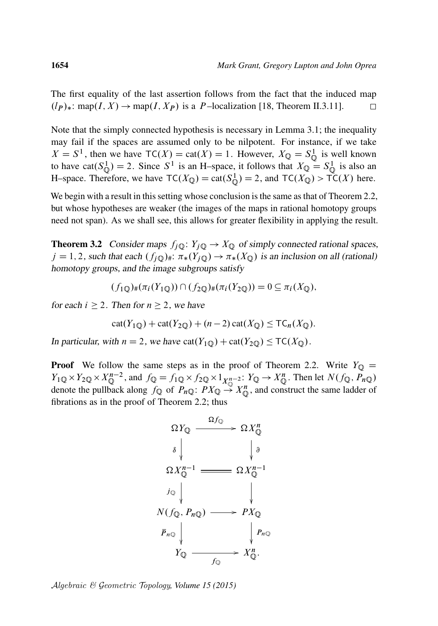The first equality of the last assertion follows from the fact that the induced map  $(l_P)_*$ : map $(I, X) \rightarrow$  map $(I, X_P)$  is a P-localization [\[18,](#page-23-1) Theorem II.3.11].  $\Box$ 

Note that the simply connected hypothesis is necessary in [Lemma 3.1;](#page-10-1) the inequality may fail if the spaces are assumed only to be nilpotent. For instance, if we take  $X = S<sup>1</sup>$ , then we have  $TC(X) = \text{cat}(X) = 1$ . However,  $X_{\mathbb{Q}} = S_{\mathbb{Q}}^{1}$  is well known to have cat $(S^1_Q) = 2$ . Since  $S^1$  is an H-space, it follows that  $X_Q = S^1_Q$  is also an H–space. Therefore, we have  $TC(X_{\mathbb{Q}}) = \text{cat}(S_{\mathbb{Q}}^1) = 2$ , and  $TC(X_{\mathbb{Q}}) > TC(X)$  here.

We begin with a result in this setting whose conclusion is the same as that of [Theorem 2.2,](#page-6-0) but whose hypotheses are weaker (the images of the maps in rational homotopy groups need not span). As we shall see, this allows for greater flexibility in applying the result.

<span id="page-11-0"></span>**Theorem 3.2** Consider maps  $f_j \mathbb{Q} : Y_j \mathbb{Q} \to X \mathbb{Q}$  of simply connected rational spaces,  $j = 1, 2$ , such that each  $(f_i \circledcirc)_\#$ :  $\pi_*(Y_i \circledcirc) \to \pi_*(X \circledcirc)$  is an inclusion on all (rational) homotopy groups, and the image subgroups satisfy

$$
(f_1 \mathbf{Q})_{\#}(\pi_i(Y_1 \mathbf{Q})) \cap (f_2 \mathbf{Q})_{\#}(\pi_i(Y_2 \mathbf{Q})) = 0 \subseteq \pi_i(X_{\mathbf{Q}}),
$$

for each  $i \geq 2$ . Then for  $n \geq 2$ , we have

$$
cat(Y_{1\mathbb{Q}}) + cat(Y_{2\mathbb{Q}}) + (n-2) cat(X_{\mathbb{Q}}) \le TC_n(X_{\mathbb{Q}}).
$$

In particular, with  $n = 2$ , we have  $cat(Y_{1\mathbb{Q}}) + cat(Y_{2\mathbb{Q}}) \le TC(X_{\mathbb{Q}})$ .

**Proof** We follow the same steps as in the proof of [Theorem 2.2.](#page-6-0) Write  $Y_{\mathbb{Q}} =$  $Y_{1\mathbb{Q}} \times Y_{2\mathbb{Q}} \times X_{\mathbb{Q}}^{n-2}$ , and  $f_{\mathbb{Q}} = f_{1\mathbb{Q}} \times f_{2\mathbb{Q}} \times 1_{X_{\mathbb{Q}}^{n-2}} : Y_{\mathbb{Q}} \to X_{\mathbb{Q}}^n$ . Then let  $N(f_{\mathbb{Q}}, P_{n\mathbb{Q}})$ denote the pullback along  $f_{\mathbb{Q}}$  of  $P_{n\mathbb{Q}}$ :  $PX_{\mathbb{Q}} \to X_{\mathbb{Q}}^n$ , and construct the same ladder of fibrations as in the proof of [Theorem 2.2;](#page-6-0) thus



Algebraic & Geometric Topology*, Volume 15 (2015)*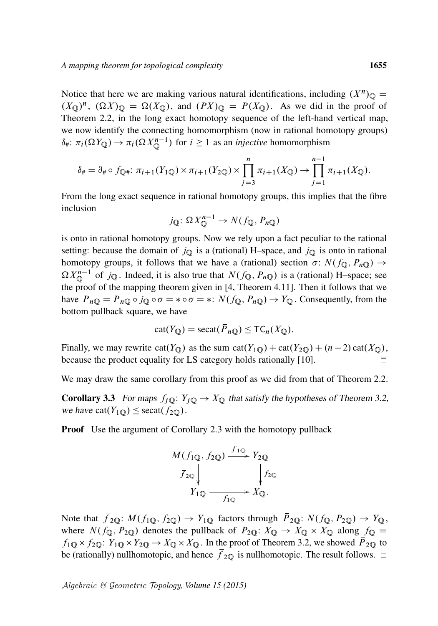Notice that here we are making various natural identifications, including  $(X^n)_{\mathbb{Q}} =$  $(X_{\mathbb{Q}})^n$ ,  $(\Omega X)_{\mathbb{Q}} = \Omega(X_{\mathbb{Q}})$ , and  $(PX)_{\mathbb{Q}} = P(X_{\mathbb{Q}})$ . As we did in the proof of [Theorem 2.2,](#page-6-0) in the long exact homotopy sequence of the left-hand vertical map, we now identify the connecting homomorphism (now in rational homotopy groups)  $\delta_{\#}$ :  $\pi_i(\Omega Y_{\mathbb{Q}}) \to \pi_i(\Omega X_{\mathbb{Q}}^{n-1})$  for  $i \geq 1$  as an *injective* homomorphism

$$
\delta_{\#} = \partial_{\#} \circ f_{\mathbb{Q}^{\#}} \colon \pi_{i+1}(Y_{1\mathbb{Q}}) \times \pi_{i+1}(Y_{2\mathbb{Q}}) \times \prod_{j=3}^{n} \pi_{i+1}(X_{\mathbb{Q}}) \to \prod_{j=1}^{n-1} \pi_{i+1}(X_{\mathbb{Q}}).
$$

From the long exact sequence in rational homotopy groups, this implies that the fibre inclusion

$$
j_{\mathbb{Q}}\colon \Omega X_{\mathbb{Q}}^{n-1} \to N(f_{\mathbb{Q}}, P_{n\mathbb{Q}})
$$

is onto in rational homotopy groups. Now we rely upon a fact peculiar to the rational setting: because the domain of  $j_{\mathbb{Q}}$  is a (rational) H–space, and  $j_{\mathbb{Q}}$  is onto in rational homotopy groups, it follows that we have a (rational) section  $\sigma: N(f_{\mathbb{Q}}, P_{n\mathbb{Q}}) \to$  $\Omega X_{\mathbb{Q}}^{n-1}$  of  $j_{\mathbb{Q}}$ . Indeed, it is also true that  $N(f_{\mathbb{Q}}, P_{n\mathbb{Q}})$  is a (rational) H–space; see the proof of the mapping theorem given in [\[4,](#page-22-1) Theorem 4.11]. Then it follows that we have  $\overline{P}_{n\mathbb{Q}} = \overline{P}_{n\mathbb{Q}} \circ j_{\mathbb{Q}} \circ \sigma = * \circ \sigma = * \colon N(f_{\mathbb{Q}}, P_{n\mathbb{Q}}) \to Y_{\mathbb{Q}}$ . Consequently, from the bottom pullback square, we have

$$
cat(Y_{\mathbb{Q}}) = secat(\overline{P}_{n\mathbb{Q}}) \le TC_n(X_{\mathbb{Q}}).
$$

Finally, we may rewrite cat( $Y_{\mathbb{Q}}$ ) as the sum cat( $Y_{1\mathbb{Q}}$ ) + cat( $Y_{2\mathbb{Q}}$ ) + (n - 2) cat( $X_{\mathbb{Q}}$ ), because the product equality for LS category holds rationally [\[10\]](#page-22-11).  $\Box$ 

<span id="page-12-0"></span>We may draw the same corollary from this proof as we did from that of [Theorem 2.2.](#page-6-0)

**Corollary 3.3** For maps  $f_j \mathbb{Q} : Y_j \mathbb{Q} \to X \mathbb{Q}$  that satisfy the hypotheses of [Theorem 3.2,](#page-11-0) we have  $cat(Y_{1\text{O}}) \leq secat(f_{2\text{O}})$ .

**Proof** Use the argument of [Corollary 2.3](#page-7-0) with the homotopy pullback



Note that  $\bar{f}_{2\mathbb{Q}}: M(f_{1\mathbb{Q}}, f_{2\mathbb{Q}}) \to Y_{1\mathbb{Q}}$  factors through  $\bar{P}_{2\mathbb{Q}}: N(f_{\mathbb{Q}}, P_{2\mathbb{Q}}) \to Y_{\mathbb{Q}}$ , where  $N(f_{\mathbb{Q}}, P_{2\mathbb{Q}})$  denotes the pullback of  $P_{2\mathbb{Q}}: X_{\mathbb{Q}} \to X_{\mathbb{Q}} \times X_{\mathbb{Q}}$  along  $f_{\mathbb{Q}} =$  $f_{1\mathbb{Q}} \times f_{2\mathbb{Q}}$ :  $Y_{1\mathbb{Q}} \times Y_{2\mathbb{Q}} \to X_{\mathbb{Q}} \times X_{\mathbb{Q}}$ . In the proof of [Theorem 3.2,](#page-11-0) we showed  $\overline{P}_{2\mathbb{Q}}$  to be (rationally) nullhomotopic, and hence  $\bar{f}_{2Q}$  is nullhomotopic. The result follows.  $\Box$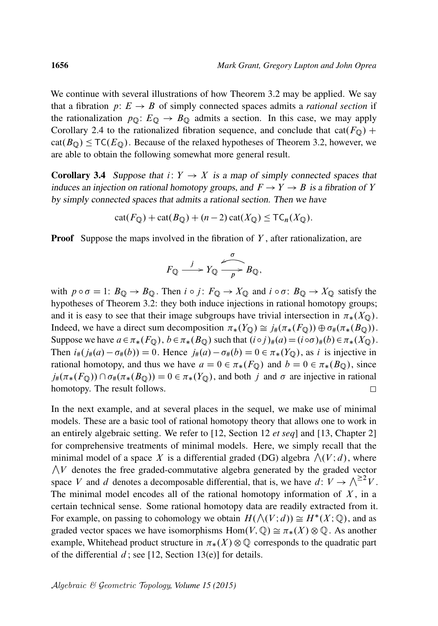We continue with several illustrations of how [Theorem 3.2](#page-11-0) may be applied. We say that a fibration  $p: E \to B$  of simply connected spaces admits a *rational section* if the rationalization  $p_{\mathbb{Q}}: E_{\mathbb{Q}} \to B_{\mathbb{Q}}$  admits a section. In this case, we may apply [Corollary 2.4](#page-8-0) to the rationalized fibration sequence, and conclude that cat( $F_{\mathbb{Q}}$ ) +  $cat(B<sub>Q</sub>) \leq TC(E<sub>Q</sub>)$ . Because of the relaxed hypotheses of [Theorem 3.2,](#page-11-0) however, we are able to obtain the following somewhat more general result.

<span id="page-13-0"></span>**Corollary 3.4** Suppose that  $i: Y \rightarrow X$  is a map of simply connected spaces that induces an injection on rational homotopy groups, and  $F \to Y \to B$  is a fibration of Y by simply connected spaces that admits a rational section. Then we have

$$
cat(F_{\mathbb{Q}}) + cat(B_{\mathbb{Q}}) + (n-2) cat(X_{\mathbb{Q}}) \leq TC_n(X_{\mathbb{Q}}).
$$

**Proof** Suppose the maps involved in the fibration of  $Y$ , after rationalization, are

$$
F_{\mathbb{Q}} \xrightarrow{j} Y_{\mathbb{Q}} \xrightarrow{q} B_{\mathbb{Q}},
$$

with  $p \circ \sigma = 1$ :  $B_{\mathbb{Q}} \to B_{\mathbb{Q}}$ . Then  $i \circ j$ :  $F_{\mathbb{Q}} \to X_{\mathbb{Q}}$  and  $i \circ \sigma$ :  $B_{\mathbb{Q}} \to X_{\mathbb{Q}}$  satisfy the hypotheses of [Theorem 3.2:](#page-11-0) they both induce injections in rational homotopy groups; and it is easy to see that their image subgroups have trivial intersection in  $\pi_*(X_0)$ . Indeed, we have a direct sum decomposition  $\pi_*(Y_{\mathbb{Q}}) \cong j_*(\pi_*(F_{\mathbb{Q}})) \oplus \sigma_*(\pi_*(B_{\mathbb{Q}})).$ Suppose we have  $a \in \pi_*(F_{\mathbb{Q}})$ ,  $b \in \pi_*(B_{\mathbb{Q}})$  such that  $(i \circ j)_*(a) = (i \circ \sigma)_*(b) \in \pi_*(X_{\mathbb{Q}})$ . Then  $i_{\#}(j_{\#}(a) - \sigma_{\#}(b)) = 0$ . Hence  $j_{\#}(a) - \sigma_{\#}(b) = 0 \in \pi_{*}(Y_{\mathbb{Q}})$ , as i is injective in rational homotopy, and thus we have  $a = 0 \in \pi_*(F_{\mathbb{Q}})$  and  $b = 0 \in \pi_*(B_{\mathbb{Q}})$ , since  $j_{\#}(\pi_*(F_{\mathbb{Q}})) \cap \sigma_{\#}(\pi_*(B_{\mathbb{Q}})) = 0 \in \pi_*(Y_{\mathbb{Q}})$ , and both j and  $\sigma$  are injective in rational homotopy. The result follows.  $\Box$ 

In the next example, and at several places in the sequel, we make use of minimal models. These are a basic tool of rational homotopy theory that allows one to work in an entirely algebraic setting. We refer to [\[12,](#page-22-4) Section 12 *et seq*] and [\[13,](#page-22-12) Chapter 2] for comprehensive treatments of minimal models. Here, we simply recall that the minimal model of a space X is a differential graded (DG) algebra  $\Lambda(V; d)$ , where  $\bigwedge V$  denotes the free graded-commutative algebra generated by the graded vector space V and d denotes a decomposable differential, that is, we have  $d: V \to \bigwedge^{\geq 2} V$ . The minimal model encodes all of the rational homotopy information of  $X$ , in a certain technical sense. Some rational homotopy data are readily extracted from it. For example, on passing to cohomology we obtain  $H(\bigwedge(V; d)) \cong H^*(X; \mathbb{Q})$ , and as graded vector spaces we have isomorphisms  $Hom(V, \mathbb{Q}) \cong \pi_*(X) \otimes \mathbb{Q}$ . As another example, Whitehead product structure in  $\pi_*(X) \otimes \mathbb{Q}$  corresponds to the quadratic part of the differential  $d$ ; see [\[12,](#page-22-4) Section 13(e)] for details.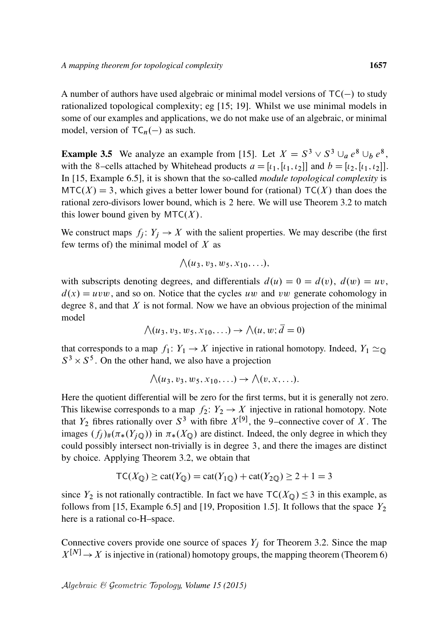A number of authors have used algebraic or minimal model versions of  $TC(-)$  to study rationalized topological complexity; eg [\[15;](#page-22-10) [19\]](#page-23-8). Whilst we use minimal models in some of our examples and applications, we do not make use of an algebraic, or minimal model, version of  $TC_n(-)$  as such.

**Example 3.5** We analyze an example from [\[15\]](#page-22-10). Let  $X = S^3 \vee S^3 \cup_a e^8 \cup_b e^8$ , with the 8–cells attached by Whitehead products  $a = [i_1, [i_1, i_2]]$  and  $b = [i_2, [i_1, i_2]]$ . In [\[15,](#page-22-10) Example 6.5], it is shown that the so-called *module topological complexity* is  $MTC(X) = 3$ , which gives a better lower bound for (rational) TC(X) than does the rational zero-divisors lower bound, which is 2 here. We will use [Theorem 3.2](#page-11-0) to match this lower bound given by  $MTC(X)$ .

We construct maps  $f_j: Y_j \to X$  with the salient properties. We may describe (the first few terms of) the minimal model of  $X$  as

$$
\bigwedge (u_3, v_3, w_5, x_{10}, \ldots),
$$

with subscripts denoting degrees, and differentials  $d(u) = 0 = d(v)$ ,  $d(w) = uv$ ,  $d(x) = uvw$ , and so on. Notice that the cycles uw and vw generate cohomology in degree  $8$ , and that  $X$  is not formal. Now we have an obvious projection of the minimal model

$$
\bigwedge(u_3, v_3, w_5, x_{10}, \ldots) \to \bigwedge(u, w; \overline{d} = 0)
$$

that corresponds to a map  $f_1: Y_1 \to X$  injective in rational homotopy. Indeed,  $Y_1 \simeq_{\mathbb{Q}}$  $S^3 \times S^5$ . On the other hand, we also have a projection

$$
\bigwedge(u_3,v_3,w_5,x_{10},\ldots)\rightarrow\bigwedge(v,x,\ldots).
$$

Here the quotient differential will be zero for the first terms, but it is generally not zero. This likewise corresponds to a map  $f_2: Y_2 \to X$  injective in rational homotopy. Note that  $Y_2$  fibres rationally over  $S^3$  with fibre  $X^{[9]}$ , the 9-connective cover of X. The images  $(f_i)_\#(\pi_*(Y_{i\mathbb{O}}))$  in  $\pi_*(X_{\mathbb{O}})$  are distinct. Indeed, the only degree in which they could possibly intersect non-trivially is in degree 3, and there the images are distinct by choice. Applying [Theorem 3.2,](#page-11-0) we obtain that

$$
TC(X_{\mathbb{Q}}) \ge \text{cat}(Y_{\mathbb{Q}}) = \text{cat}(Y_{1\mathbb{Q}}) + \text{cat}(Y_{2\mathbb{Q}}) \ge 2 + 1 = 3
$$

since  $Y_2$  is not rationally contractible. In fact we have  $TC(X_0) \leq 3$  in this example, as follows from [\[15,](#page-22-10) Example 6.5] and [\[19,](#page-23-8) Proposition 1.5]. It follows that the space  $Y_2$ here is a rational co-H–space.

Connective covers provide one source of spaces  $Y_j$  for [Theorem 3.2.](#page-11-0) Since the map  $X^{[N]} \to X$  is injective in (rational) homotopy groups, the mapping theorem [\(Theorem 6\)](#page-2-0)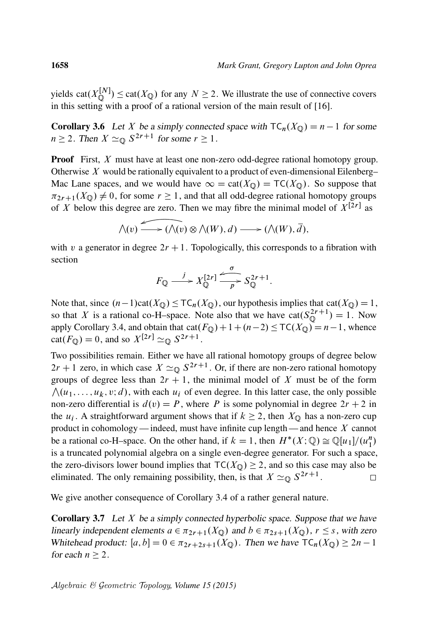yields cat $(X_{\mathbb{O}}^{[N]}$  $\mathcal{L}^{[N]}_{\mathbb{Q}}$  ( $\alpha$ ) for any  $N \geq 2$ . We illustrate the use of connective covers in this setting with a proof of a rational version of the main result of [\[16\]](#page-22-13).

<span id="page-15-0"></span>**Corollary 3.6** Let X be a simply connected space with  $TC_n(X_0) = n - 1$  for some  $n \geq 2$ . Then  $X \simeq_{\mathbb{Q}} S^{2r+1}$  for some  $r \geq 1$ .

**Proof** First, X must have at least one non-zero odd-degree rational homotopy group. Otherwise  $X$  would be rationally equivalent to a product of even-dimensional Eilenberg– Mac Lane spaces, and we would have  $\infty = \text{cat}(X_{\mathbb{Q}}) = \text{TC}(X_{\mathbb{Q}})$ . So suppose that  $\pi_{2r+1}(X_{\mathbb{Q}}) \neq 0$ , for some  $r \geq 1$ , and that all odd-degree rational homotopy groups of X below this degree are zero. Then we may fibre the minimal model of  $X^{[2r]}$  as

$$
\bigwedge(v) \longrightarrow (\bigwedge(v) \otimes \bigwedge(W), d) \longrightarrow (\bigwedge(W), \overline{d}),
$$

with v a generator in degree  $2r + 1$ . Topologically, this corresponds to a fibration with section

$$
F_{\mathbb{Q}} \xrightarrow{j} X_{\mathbb{Q}}^{[2r]} \xrightarrow[p]{\sigma} S_{\mathbb{Q}}^{2r+1}.
$$

Note that, since  $(n-1)\text{cat}(X_{\mathbb{Q}}) \leq T\mathsf{C}_n(X_{\mathbb{Q}})$ , our hypothesis implies that  $\text{cat}(X_{\mathbb{Q}}) = 1$ , so that X is a rational co-H–space. Note also that we have  $cat(S_0^{2r+1})$  $\mathbb{Q}^{2r+1}$ ) = 1. Now apply [Corollary 3.4,](#page-13-0) and obtain that  $cat(F_{\mathbb{Q}})+1+(n-2) \leq TC(X_{\mathbb{Q}})=n-1$ , whence cat( $F_{\mathbb{Q}}$ ) = 0, and so  $X^{[2r]} \simeq_{\mathbb{Q}} S^{2r+1}$ .

Two possibilities remain. Either we have all rational homotopy groups of degree below  $2r + 1$  zero, in which case  $X \simeq_{\mathbb{Q}} S^{2r+1}$ . Or, if there are non-zero rational homotopy groups of degree less than  $2r + 1$ , the minimal model of X must be of the form  $\bigwedge(u_1, \ldots, u_k, v; d)$ , with each  $u_i$  of even degree. In this latter case, the only possible non-zero differential is  $d(v) = P$ , where P is some polynomial in degree  $2r + 2$  in the  $u_i$ . A straightforward argument shows that if  $k \ge 2$ , then  $X_{\mathbb{Q}}$  has a non-zero cup product in cohomology — indeed, must have infinite cup length — and hence  $X$  cannot be a rational co-H–space. On the other hand, if  $k = 1$ , then  $H^*(X; \mathbb{Q}) \cong \mathbb{Q}[u_1]/(u_1^n)$ is a truncated polynomial algebra on a single even-degree generator. For such a space, the zero-divisors lower bound implies that  $TC(X<sub>Q</sub>) \ge 2$ , and so this case may also be eliminated. The only remaining possibility, then, is that  $X \simeq_{\mathbb{Q}} S^{2r+1}$ .  $\Box$ 

We give another consequence of [Corollary 3.4](#page-13-0) of a rather general nature.

**Corollary 3.7** Let  $X$  be a simply connected hyperbolic space. Suppose that we have linearly independent elements  $a \in \pi_{2r+1}(X_{\mathbb{Q}})$  and  $b \in \pi_{2s+1}(X_{\mathbb{Q}})$ ,  $r \leq s$ , with zero Whitehead product:  $[a, b] = 0 \in \pi_{2r+2s+1}(X_{\mathbb{Q}})$ . Then we have  $TC_n(X_{\mathbb{Q}}) \ge 2n - 1$ for each  $n > 2$ .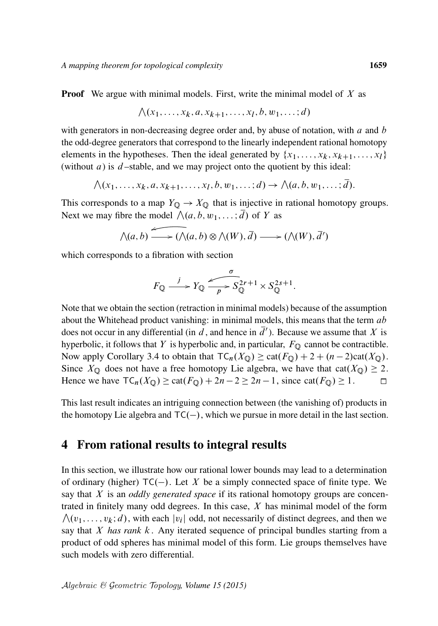**Proof** We argue with minimal models. First, write the minimal model of X as

$$
\bigwedge (x_1, \ldots, x_k, a, x_{k+1}, \ldots, x_l, b, w_1, \ldots; d)
$$

with generators in non-decreasing degree order and, by abuse of notation, with  $a$  and  $b$ the odd-degree generators that correspond to the linearly independent rational homotopy elements in the hypotheses. Then the ideal generated by  $\{x_1, \ldots, x_k, x_{k+1}, \ldots, x_l\}$ (without  $a$ ) is  $d$ -stable, and we may project onto the quotient by this ideal:

$$
\bigwedge(x_1,\ldots,x_k,a,x_{k+1},\ldots,x_l,b,w_1,\ldots;d)\rightarrow\bigwedge(a,b,w_1,\ldots;\overline{d}).
$$

This corresponds to a map  $Y_{\mathbb{Q}} \to X_{\mathbb{Q}}$  that is injective in rational homotopy groups. Next we may fibre the model  $\bigwedge (a, b, w_1, \dots; \overline{d})$  of Y as

$$
\bigwedge(a,b) \longrightarrow (\bigwedge(a,b) \otimes \bigwedge(W), \overline{d}) \longrightarrow (\bigwedge(W), \overline{d}')
$$

which corresponds to a fibration with section

$$
F_{\mathbb{Q}} \xrightarrow{j} Y_{\mathbb{Q}} \xrightarrow[p]{\sigma} S_{\mathbb{Q}}^{2r+1} \times S_{\mathbb{Q}}^{2s+1}.
$$

Note that we obtain the section (retraction in minimal models) because of the assumption about the Whitehead product vanishing: in minimal models, this means that the term  $ab$ does not occur in any differential (in d, and hence in  $\overline{d}$ ). Because we assume that X is hyperbolic, it follows that Y is hyperbolic and, in particular,  $F_{\mathbb{Q}}$  cannot be contractible. Now apply [Corollary 3.4](#page-13-0) to obtain that  $TC_n(X_{\mathbb{Q}}) \geq \text{cat}(F_{\mathbb{Q}}) + 2 + (n - 2)\text{cat}(X_{\mathbb{Q}})$ . Since  $X_{\mathbb{Q}}$  does not have a free homotopy Lie algebra, we have that cat $(X_{\mathbb{Q}}) \geq 2$ . Hence we have  $TC_n(X_0) \geq cat(F_0) + 2n - 2 \geq 2n - 1$ , since  $cat(F_0) \geq 1$ .  $\Box$ 

This last result indicates an intriguing connection between (the vanishing of) products in the homotopy Lie algebra and  $TC(-)$ , which we pursue in more detail in the last section.

### <span id="page-16-0"></span>4 From rational results to integral results

In this section, we illustrate how our rational lower bounds may lead to a determination of ordinary (higher)  $TC(-)$ . Let X be a simply connected space of finite type. We say that X is an *oddly generated space* if its rational homotopy groups are concentrated in finitely many odd degrees. In this case,  $X$  has minimal model of the form  $\bigwedge(v_1, \ldots, v_k; d)$ , with each  $|v_i|$  odd, not necessarily of distinct degrees, and then we say that X *has rank* k . Any iterated sequence of principal bundles starting from a product of odd spheres has minimal model of this form. Lie groups themselves have such models with zero differential.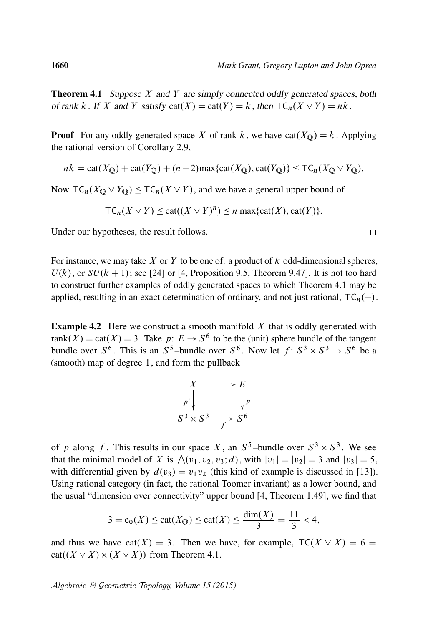<span id="page-17-0"></span>**Theorem 4.1** Suppose  $X$  and  $Y$  are simply connected oddly generated spaces, both of rank k. If X and Y satisfy  $cat(X) = cat(Y) = k$ , then  $TC_n(X \vee Y) = nk$ .

**Proof** For any oddly generated space X of rank k, we have  $cat(X<sub>Q</sub>) = k$ . Applying the rational version of [Corollary 2.9,](#page-9-0)

$$
nk = \text{cat}(X_{\mathbb{Q}}) + \text{cat}(Y_{\mathbb{Q}}) + (n-2)\max\{\text{cat}(X_{\mathbb{Q}}), \text{cat}(Y_{\mathbb{Q}})\} \leq \text{TC}_n(X_{\mathbb{Q}} \vee Y_{\mathbb{Q}}).
$$

Now  $TC_n(X_Q \vee Y_Q) \le TC_n(X \vee Y)$ , and we have a general upper bound of

$$
TC_n(X \vee Y) \leq \text{cat}((X \vee Y)^n) \leq n \max\{\text{cat}(X), \text{cat}(Y)\}.
$$

Under our hypotheses, the result follows.

For instance, we may take  $X$  or  $Y$  to be one of: a product of  $k$  odd-dimensional spheres,  $U(k)$ , or  $SU(k + 1)$ ; see [\[24\]](#page-23-9) or [\[4,](#page-22-1) Proposition 9.5, Theorem 9.47]. It is not too hard to construct further examples of oddly generated spaces to which [Theorem 4.1](#page-17-0) may be applied, resulting in an exact determination of ordinary, and not just rational,  $TC_n(-)$ .

**Example 4.2** Here we construct a smooth manifold  $X$  that is oddly generated with rank $(X) = \text{cat}(X) = 3$ . Take  $p: E \to S^6$  to be the (unit) sphere bundle of the tangent bundle over  $S^6$ . This is an  $S^5$ -bundle over  $S^6$ . Now let  $f: S^3 \times S^3 \to S^6$  be a (smooth) map of degree 1, and form the pullback

$$
X \longrightarrow E
$$
  
\n
$$
p' \downarrow \qquad \qquad p
$$
  
\n
$$
S^3 \times S^3 \longrightarrow S^6
$$

of p along f. This results in our space X, an  $S^5$ -bundle over  $S^3 \times S^3$ . We see that the minimal model of X is  $\wedge$  ( $v_1, v_2, v_3; d$ ), with  $|v_1| = |v_2| = 3$  and  $|v_3| = 5$ , with differential given by  $d(v_3) = v_1v_2$  (this kind of example is discussed in [\[13\]](#page-22-12)). Using rational category (in fact, the rational Toomer invariant) as a lower bound, and the usual "dimension over connectivity" upper bound [\[4,](#page-22-1) Theorem 1.49], we find that

$$
3 = e_0(X) \le \text{cat}(X_{\mathbb{Q}}) \le \text{cat}(X) \le \frac{\dim(X)}{3} = \frac{11}{3} < 4,
$$

and thus we have cat $(X) = 3$ . Then we have, for example,  $TC(X \vee X) = 6$  =  $cat((X \vee X) \times (X \vee X))$  from [Theorem 4.1.](#page-17-0)

Algebraic & Geometric Topology*, Volume 15 (2015)*

 $\Box$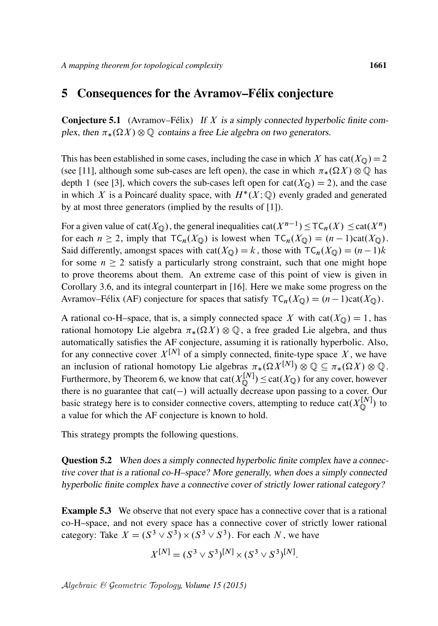### <span id="page-18-0"></span>5 Consequences for the Avramov–Félix conjecture

**Conjecture 5.1** (Avramov–Félix) If X is a simply connected hyperbolic finite complex, then  $\pi_*(\Omega X) \otimes \mathbb{Q}$  contains a free Lie algebra on two generators.

This has been established in some cases, including the case in which X has  $cat(X<sub>Q</sub>) = 2$ (see [\[11\]](#page-22-5), although some sub-cases are left open), the case in which  $\pi_*(\Omega X) \otimes \mathbb{Q}$  has depth 1 (see [\[3\]](#page-22-14), which covers the sub-cases left open for  $cat(X<sub>Q</sub>) = 2)$ , and the case in which X is a Poincaré duality space, with  $H^*(X; \mathbb{Q})$  evenly graded and generated by at most three generators (implied by the results of [\[1\]](#page-22-15)).

For a given value of cat $(X_{\mathbb{Q}})$ , the general inequalities  $cat(X^{n-1}) \leq TC_n(X) \leq cat(X^n)$ for each  $n \ge 2$ , imply that  $TC_n(X_0)$  is lowest when  $TC_n(X_0) = (n - 1)\text{cat}(X_0)$ . Said differently, amongst spaces with cat $(X_{\mathbb{Q}}) = k$ , those with  $TC_n(X_{\mathbb{Q}}) = (n - 1)k$ for some  $n \geq 2$  satisfy a particularly strong constraint, such that one might hope to prove theorems about them. An extreme case of this point of view is given in [Corollary 3.6,](#page-15-0) and its integral counterpart in [\[16\]](#page-22-13). Here we make some progress on the Avramov–Félix (AF) conjecture for spaces that satisfy  $TC_n(X_0) = (n - 1)\text{cat}(X_0)$ .

A rational co-H–space, that is, a simply connected space X with  $cat(X_{\mathbb{Q}}) = 1$ , has rational homotopy Lie algebra  $\pi_*(\Omega X) \otimes \mathbb{Q}$ , a free graded Lie algebra, and thus automatically satisfies the AF conjecture, assuming it is rationally hyperbolic. Also, for any connective cover  $X^{[N]}$  of a simply connected, finite-type space X, we have an inclusion of rational homotopy Lie algebras  $\pi_*(\Omega X^{[N]}) \otimes \mathbb{Q} \subseteq \pi_*(\Omega X) \otimes \mathbb{Q}$ . Furthermore, by [Theorem 6,](#page-2-0) we know that cat $(X_0^{[N]})$  $\begin{bmatrix} [N] \\ \mathbb{Q} \end{bmatrix}$   $\leq$  cat $(X_{\mathbb{Q}})$  for any cover, however there is no guarantee that  $cat(-)$  will actually decrease upon passing to a cover. Our basic strategy here is to consider connective covers, attempting to reduce cat $(X_{\Omega}^{[N]})$  $\bigcirc^{\lfloor N \rfloor}$  to a value for which the AF conjecture is known to hold.

<span id="page-18-1"></span>This strategy prompts the following questions.

**Question 5.2** When does a simply connected hyperbolic finite complex have a connective cover that is a rational co-H–space? More generally, when does a simply connected hyperbolic finite complex have a connective cover of strictly lower rational category?

**Example 5.3** We observe that not every space has a connective cover that is a rational co-H–space, and not every space has a connective cover of strictly lower rational category: Take  $X = (S^3 \vee S^3) \times (S^3 \vee S^3)$ . For each N, we have

$$
X^{[N]} = (S^3 \vee S^3)^{[N]} \times (S^3 \vee S^3)^{[N]}.
$$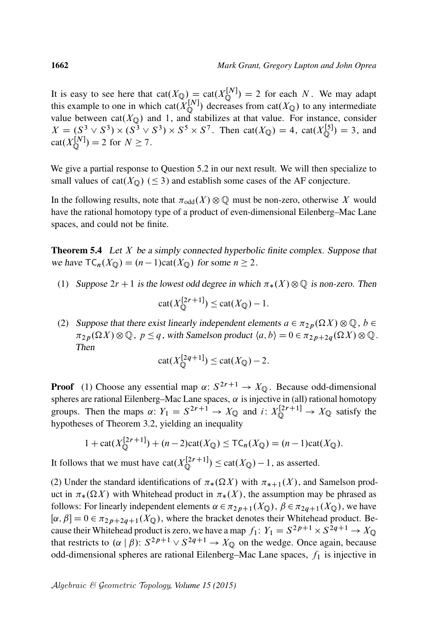It is easy to see here that  $cat(X_{\mathbb{Q}}) = cat(X_{\mathbb{Q}}^{[N]}) = 2$  for each N. We may adapt  $\mathbb Q$ this example to one in which cat $(X_{\Omega}^{[N]})$  $\mathbb{Q}^{[N]}$ ) decreases from cat $(X_{\mathbb{Q}})$  to any intermediate value between cat $(X_{\mathbb{Q}})$  and 1, and stabilizes at that value. For instance, consider  $X = (S^3 \vee S^3) \times (S^3 \vee S^3) \times S^5 \times S^7$ . Then cat $(X_{\mathbb{Q}}) = 4$ , cat $(X_{\mathbb{Q}}^{[5]})$  $\binom{[5]}{2} = 3$ , and  $cat(X_{\bigcirc}^{[N]})$  $\mathcal{Q}^{[N]}(N) = 2$  for  $N \ge 7$ .

We give a partial response to [Question 5.2](#page-18-1) in our next result. We will then specialize to small values of cat( $X_{\text{Q}}$ ) ( $\leq$  3) and establish some cases of the AF conjecture.

In the following results, note that  $\pi_{\text{odd}}(X) \otimes \mathbb{Q}$  must be non-zero, otherwise X would have the rational homotopy type of a product of even-dimensional Eilenberg–Mac Lane spaces, and could not be finite.

<span id="page-19-0"></span>**Theorem 5.4** Let X be a simply connected hyperbolic finite complex. Suppose that we have  $TC_n(X_{\mathbb{Q}}) = (n - 1)\text{cat}(X_{\mathbb{Q}})$  for some  $n \ge 2$ .

(1) Suppose  $2r + 1$  is the lowest odd degree in which  $\pi_*(X) \otimes \mathbb{Q}$  is non-zero. Then

$$
\mathrm{cat}(X_{\mathbb{Q}}^{[2r+1]}) \le \mathrm{cat}(X_{\mathbb{Q}}) - 1.
$$

(2) Suppose that there exist linearly independent elements  $a \in \pi_{2p}(\Omega X) \otimes \mathbb{Q}$ ,  $b \in$  $\pi_{2p}(\Omega X)\otimes \mathbb{Q}$ ,  $p \leq q$ , with Samelson product  $\langle a, b \rangle = 0 \in \pi_{2p+2q}(\Omega X)\otimes \mathbb{Q}$ . Then

$$
cat(X_{\mathbb{Q}}^{[2q+1]}) \leq cat(X_{\mathbb{Q}})-2.
$$

**Proof** (1) Choose any essential map  $\alpha: S^{2r+1} \to X_{\mathbb{Q}}$ . Because odd-dimensional spheres are rational Eilenberg–Mac Lane spaces,  $\alpha$  is injective in (all) rational homotopy groups. Then the maps  $\alpha: Y_1 = S^{2r+1} \to X_{\mathbb{Q}}$  and  $i: X_{\mathbb{Q}}^{[2r+1]} \to X_{\mathbb{Q}}$  satisfy the hypotheses of [Theorem 3.2,](#page-11-0) yielding an inequality

$$
1 + \text{cat}(X_{\mathbb{Q}}^{[2r+1]}) + (n-2)\text{cat}(X_{\mathbb{Q}}) \leq \text{TC}_n(X_{\mathbb{Q}}) = (n-1)\text{cat}(X_{\mathbb{Q}}).
$$

It follows that we must have  $cat(X_0^{[2r+1]})$  $\mathbb{Q}^{\{2r+1\}} \leq \text{cat}(X_{\mathbb{Q}}) - 1$ , as asserted.

(2) Under the standard identifications of  $\pi_*(\Omega X)$  with  $\pi_{*+1}(X)$ , and Samelson product in  $\pi_*(\Omega X)$  with Whitehead product in  $\pi_*(X)$ , the assumption may be phrased as follows: For linearly independent elements  $\alpha \in \pi_{2p+1}(X_{\mathbb{Q}})$ ,  $\beta \in \pi_{2q+1}(X_{\mathbb{Q}})$ , we have  $[\alpha, \beta] = 0 \in \pi_{2p+2q+1}(X_{\mathbb{Q}})$ , where the bracket denotes their Whitehead product. Because their Whitehead product is zero, we have a map  $f_1: Y_1 = S^{2p+1} \times S^{2q+1} \to X_{\mathbb{Q}}$ that restricts to  $(\alpha | \beta)$ :  $S^{2p+1} \vee S^{2q+1} \rightarrow X_{\mathbb{Q}}$  on the wedge. Once again, because odd-dimensional spheres are rational Eilenberg–Mac Lane spaces,  $f_1$  is injective in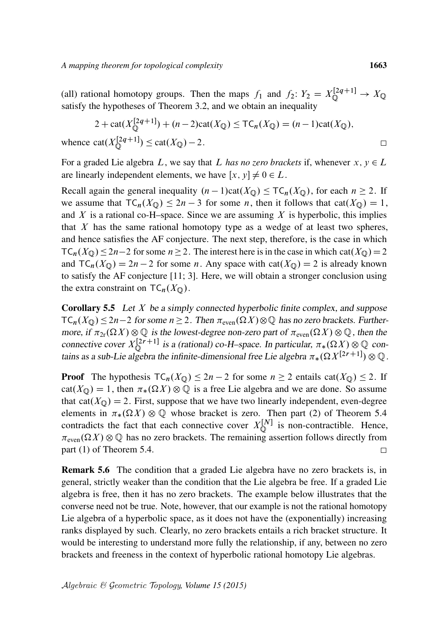(all) rational homotopy groups. Then the maps  $f_1$  and  $f_2$ :  $Y_2 = X_{\mathbb{Q}}^{[2q+1]} \rightarrow X_{\mathbb{Q}}$ satisfy the hypotheses of [Theorem 3.2,](#page-11-0) and we obtain an inequality

$$
2 + \text{cat}(X_{\mathbb{Q}}^{[2q+1]}) + (n-2)\text{cat}(X_{\mathbb{Q}}) \leq \text{TC}_n(X_{\mathbb{Q}}) = (n-1)\text{cat}(X_{\mathbb{Q}}),
$$
  
whence  $\text{cat}(X_{\mathbb{Q}}^{[2q+1]}) \leq \text{cat}(X_{\mathbb{Q}}) - 2.$ 

For a graded Lie algebra L, we say that L has no zero brackets if, whenever  $x, y \in L$ are linearly independent elements, we have  $[x, y] \neq 0 \in L$ .

Recall again the general inequality  $(n - 1)\text{cat}(X_{\mathbb{Q}}) \leq T\text{C}_n(X_{\mathbb{Q}})$ , for each  $n \geq 2$ . If we assume that  $TC_n(X_{\mathbb{Q}}) \leq 2n - 3$  for some *n*, then it follows that cat $(X_{\mathbb{Q}}) = 1$ , and  $X$  is a rational co-H–space. Since we are assuming  $X$  is hyperbolic, this implies that  $X$  has the same rational homotopy type as a wedge of at least two spheres, and hence satisfies the AF conjecture. The next step, therefore, is the case in which  $TC_n(X_{\mathbb{Q}}) \leq 2n-2$  for some  $n \geq 2$ . The interest here is in the case in which cat $(X_{\mathbb{Q}})=2$ and  $TC_n(X_0) = 2n - 2$  for some n. Any space with cat $(X_0) = 2$  is already known to satisfy the AF conjecture [\[11;](#page-22-5) [3\]](#page-22-14). Here, we will obtain a stronger conclusion using the extra constraint on  $TC_n(X_{\mathbb{Q}})$ .

<span id="page-20-0"></span>Corollary 5.5 Let X be a simply connected hyperbolic finite complex, and suppose  $TC_n(X_{\mathbb{Q}}) \leq 2n-2$  for some  $n \geq 2$ . Then  $\pi_{even}(\Omega X) \otimes \mathbb{Q}$  has no zero brackets. Furthermore, if  $\pi_{2r}(\Omega X) \otimes \mathbb{Q}$  is the lowest-degree non-zero part of  $\pi_{even}(\Omega X) \otimes \mathbb{Q}$ , then the connective cover  $X_{\mathbb{O}}^{[2r+1]}$  $\mathbb{Q}^{\{2r+1\}}$  is a (rational) co-H–space. In particular,  $\pi_*(\Omega X) \otimes \mathbb{Q}$  contains as a sub-Lie algebra the infinite-dimensional free Lie algebra  $\pi_*(\Omega X^{[2r+1]})\otimes \mathbb{Q}$ .

**Proof** The hypothesis  $TC_n(X_{\mathbb{Q}}) \leq 2n - 2$  for some  $n \geq 2$  entails cat $(X_{\mathbb{Q}}) \leq 2$ . If cat( $X_{\mathbb{Q}}$ ) = 1, then  $\pi_*(\Omega X) \otimes \mathbb{Q}$  is a free Lie algebra and we are done. So assume that cat( $X_{\mathbb{Q}}$ ) = 2. First, suppose that we have two linearly independent, even-degree elements in  $\pi_*(\Omega X) \otimes \mathbb{Q}$  whose bracket is zero. Then part (2) of [Theorem 5.4](#page-19-0) contradicts the fact that each connective cover  $X_{\mathbb{O}}^{[N]}$  $\mathbb{Q}^{\{N\}}$  is non-contractible. Hence,  $\pi_{\text{even}}(\Omega X) \otimes \mathbb{Q}$  has no zero brackets. The remaining assertion follows directly from part (1) of [Theorem 5.4.](#page-19-0)  $\Box$ 

Remark 5.6 The condition that a graded Lie algebra have no zero brackets is, in general, strictly weaker than the condition that the Lie algebra be free. If a graded Lie algebra is free, then it has no zero brackets. The example below illustrates that the converse need not be true. Note, however, that our example is not the rational homotopy Lie algebra of a hyperbolic space, as it does not have the (exponentially) increasing ranks displayed by such. Clearly, no zero brackets entails a rich bracket structure. It would be interesting to understand more fully the relationship, if any, between no zero brackets and freeness in the context of hyperbolic rational homotopy Lie algebras.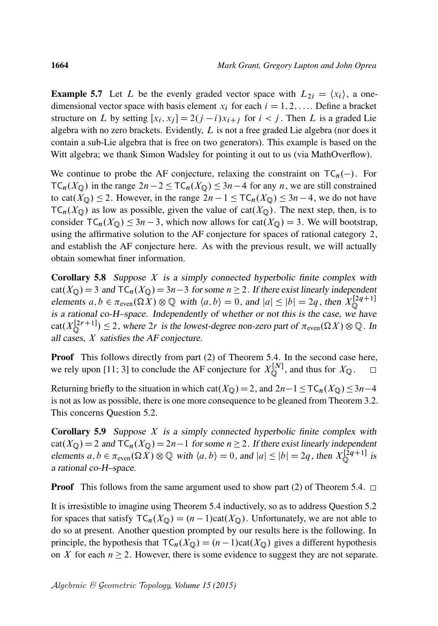**Example 5.7** Let L be the evenly graded vector space with  $L_{2i} = \langle x_i \rangle$ , a onedimensional vector space with basis element  $x_i$  for each  $i = 1, 2, \ldots$ . Define a bracket structure on L by setting  $[x_i, x_j] = 2(j - i)x_{i+j}$  for  $i < j$ . Then L is a graded Lie algebra with no zero brackets. Evidently,  $L$  is not a free graded Lie algebra (nor does it contain a sub-Lie algebra that is free on two generators). This example is based on the Witt algebra; we thank Simon Wadsley for pointing it out to us (via MathOverflow).

We continue to probe the AF conjecture, relaxing the constraint on  $TC_n(-)$ . For  $TC_n(X_0)$  in the range  $2n-2 \leq TC_n(X_0) \leq 3n-4$  for any n, we are still constrained to cat( $X_{\mathbb{Q}}$ )  $\leq$  2. However, in the range  $2n - 1 \leq T C_n(X_{\mathbb{Q}}) \leq 3n - 4$ , we do not have  $TC_n(X_{\mathbb{Q}})$  as low as possible, given the value of cat $(X_{\mathbb{Q}})$ . The next step, then, is to consider  $TC_n(X_0) \leq 3n - 3$ , which now allows for cat $(X_0) = 3$ . We will bootstrap, using the affirmative solution to the AF conjecture for spaces of rational category 2, and establish the AF conjecture here. As with the previous result, we will actually obtain somewhat finer information.

<span id="page-21-0"></span>**Corollary 5.8** Suppose  $X$  is a simply connected hyperbolic finite complex with  $cat(X_{\mathbb{Q}}) = 3$  and  $TC_n(X_{\mathbb{Q}}) = 3n-3$  for some  $n \ge 2$ . If there exist linearly independent elements  $a, b \in \pi_{\text{even}}(\Omega \tilde{X}) \otimes \mathbb{Q}$  with  $\langle a, b \rangle = 0$ , and  $|a| \leq |b| = 2q$ , then  $X_{\mathbb{Q}}^{[2q+1]}$  $\mathbb Q$ is a rational co-H–space. Independently of whether or not this is the case, we have cat $(X_{\mathbb{O}}^{[2r+1]}$  $\mathbb{Q}^{[2r+1]} \leq 2$ , where  $2r$  is the lowest-degree non-zero part of  $\pi_{\text{even}}(\Omega X) \otimes \mathbb{Q}$ . In all cases, X satisfies the AF conjecture.

**Proof** This follows directly from part (2) of [Theorem 5.4.](#page-19-0) In the second case here, we rely upon [\[11;](#page-22-5) [3\]](#page-22-14) to conclude the AF conjecture for  $X_{\mathbb{O}}^{[N]}$  $\mathbb{Q}^{[N]}$ , and thus for  $X_{\mathbb{Q}}$ .  $\Box$ 

Returning briefly to the situation in which cat( $X_{\mathbb{Q}}$ ) = 2, and  $2n-1 \leq T\mathsf{C}_n(X_{\mathbb{Q}}) \leq 3n-4$ is not as low as possible, there is one more consequence to be gleaned from [Theorem 3.2.](#page-11-0) This concerns [Question 5.2.](#page-18-1)

**Corollary 5.9** Suppose  $X$  is a simply connected hyperbolic finite complex with  $cat(X_{\mathbb{Q}}) = 2$  and  $TC_n(X_{\mathbb{Q}}) = 2n-1$  for some  $n \ge 2$ . If there exist linearly independent elements  $a, b \in \pi_{even}(\Omega X) \otimes \mathbb{Q}$  with  $\langle a, b \rangle = 0$ , and  $|a| \le |b| = 2q$ , then  $X_{\mathbb{Q}}^{[2q+1]}$  $\mathbb{Q}^{2q+1}$  is a rational co-H–space.

**Proof** This follows from the same argument used to show part (2) of [Theorem 5.4.](#page-19-0)  $\Box$ 

It is irresistible to imagine using [Theorem 5.4](#page-19-0) inductively, so as to address [Question 5.2](#page-18-1) for spaces that satisfy  $TC_n(X_{\mathbb{Q}}) = (n-1)\text{cat}(X_{\mathbb{Q}})$ . Unfortunately, we are not able to do so at present. Another question prompted by our results here is the following. In principle, the hypothesis that  $TC_n(X_{\mathbb{Q}}) = (n - 1)cat(X_{\mathbb{Q}})$  gives a different hypothesis on X for each  $n \geq 2$ . However, there is some evidence to suggest they are not separate.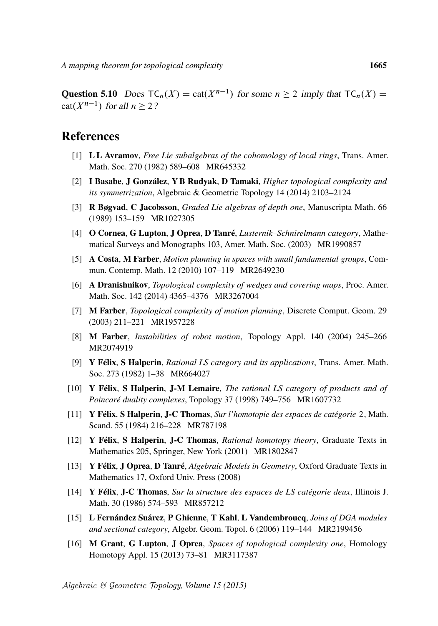**Question 5.10** Does  $TC_n(X) = \text{cat}(X^{n-1})$  for some  $n \ge 2$  imply that  $TC_n(X) =$  $cat(X^{n-1})$  for all  $n \geq 2$ ?

#### References

- <span id="page-22-15"></span>[1] L L Avramov, *[Free Lie subalgebras of the cohomology of local rings](http://dx.doi.org/10.2307/1999863)*, Trans. Amer. Math. Soc. 270 (1982) 589–608 [MR645332](http://www.ams.org/mathscinet-getitem?mr=645332)
- <span id="page-22-7"></span>[2] I Basabe, J González, Y B Rudyak, D Tamaki, *[Higher topological complexity and](http://dx.doi.org/10.2140/agt.2014.14.2103) [its symmetrization](http://dx.doi.org/10.2140/agt.2014.14.2103)*, Algebraic & Geometric Topology 14 (2014) 2103–2124
- <span id="page-22-14"></span>[3] R Bøgvad, C Jacobsson, *[Graded Lie algebras of depth one](http://dx.doi.org/10.1007/BF02568488)*, Manuscripta Math. 66 (1989) 153–159 [MR1027305](http://www.ams.org/mathscinet-getitem?mr=1027305)
- <span id="page-22-1"></span>[4] O Cornea, G Lupton, J Oprea, D Tanré, *[Lusternik–Schnirelmann category](http://dx.doi.org/10.1090/surv/103)*, Mathematical Surveys and Monographs 103, Amer. Math. Soc. (2003) [MR1990857](http://www.ams.org/mathscinet-getitem?mr=1990857)
- <span id="page-22-8"></span>[5] A Costa, M Farber, *[Motion planning in spaces with small fundamental groups](http://dx.doi.org/10.1142/S0219199710003750)*, Commun. Contemp. Math. 12 (2010) 107–119 [MR2649230](http://www.ams.org/mathscinet-getitem?mr=2649230)
- <span id="page-22-2"></span>[6] A Dranishnikov, *[Topological complexity of wedges and covering maps](http://dx.doi.org/10.1090/S0002-9939-2014-12146-0)*, Proc. Amer. Math. Soc. 142 (2014) 4365–4376 [MR3267004](http://www.ams.org/mathscinet-getitem?mr=3267004)
- <span id="page-22-0"></span>[7] M Farber, *[Topological complexity of motion planning](http://dx.doi.org/10.1007/s00454-002-0760-9)*, Discrete Comput. Geom. 29 (2003) 211–221 [MR1957228](http://www.ams.org/mathscinet-getitem?mr=1957228)
- <span id="page-22-9"></span>[8] M Farber, *[Instabilities of robot motion](http://dx.doi.org/10.1016/j.topol.2003.07.011)*, Topology Appl. 140 (2004) 245–266 [MR2074919](http://www.ams.org/mathscinet-getitem?mr=2074919)
- <span id="page-22-3"></span>[9] Y Félix, S Halperin, *[Rational LS category and its applications](http://dx.doi.org/10.2307/1999190)*, Trans. Amer. Math. Soc. 273 (1982) 1–38 [MR664027](http://www.ams.org/mathscinet-getitem?mr=664027)
- <span id="page-22-11"></span>[10] Y Félix, S Halperin, J-M Lemaire, *[The rational LS category of products and of](http://dx.doi.org/10.1016/S0040-9383(97)00061-X) [Poincaré duality complexes](http://dx.doi.org/10.1016/S0040-9383(97)00061-X)*, Topology 37 (1998) 749–756 [MR1607732](http://www.ams.org/mathscinet-getitem?mr=1607732)
- <span id="page-22-5"></span>[11] Y Félix, S Halperin, J-C Thomas, *Sur l'homotopie des espaces de catégorie* 2, Math. Scand. 55 (1984) 216–228 [MR787198](http://www.ams.org/mathscinet-getitem?mr=787198)
- <span id="page-22-4"></span>[12] Y Félix, S Halperin, J-C Thomas, *[Rational homotopy theory](http://dx.doi.org/10.1007/978-1-4613-0105-9)*, Graduate Texts in Mathematics 205, Springer, New York (2001) [MR1802847](http://www.ams.org/mathscinet-getitem?mr=1802847)
- <span id="page-22-12"></span>[13] Y Félix, J Oprea, D Tanré, *Algebraic Models in Geometry*, Oxford Graduate Texts in Mathematics 17, Oxford Univ. Press (2008)
- <span id="page-22-6"></span>[14] Y Félix, J-C Thomas, *[Sur la structure des espaces de LS catégorie deux](http://projecteuclid.org/euclid.ijm/1256064232)*, Illinois J. Math. 30 (1986) 574–593 [MR857212](http://www.ams.org/mathscinet-getitem?mr=857212)
- <span id="page-22-10"></span>[15] L Fernández Suárez, P Ghienne, T Kahl, L Vandembroucq, *[Joins of DGA modules](http://dx.doi.org/10.2140/agt.2006.6.119) [and sectional category](http://dx.doi.org/10.2140/agt.2006.6.119)*, Algebr. Geom. Topol. 6 (2006) 119–144 [MR2199456](http://www.ams.org/mathscinet-getitem?mr=2199456)
- <span id="page-22-13"></span>[16] M Grant, G Lupton, J Oprea, *[Spaces of topological complexity one](http://dx.doi.org/10.4310/HHA.2013.v15.n2.a4)*, Homology Homotopy Appl. 15 (2013) 73–81 [MR3117387](http://www.ams.org/mathscinet-getitem?mr=3117387)